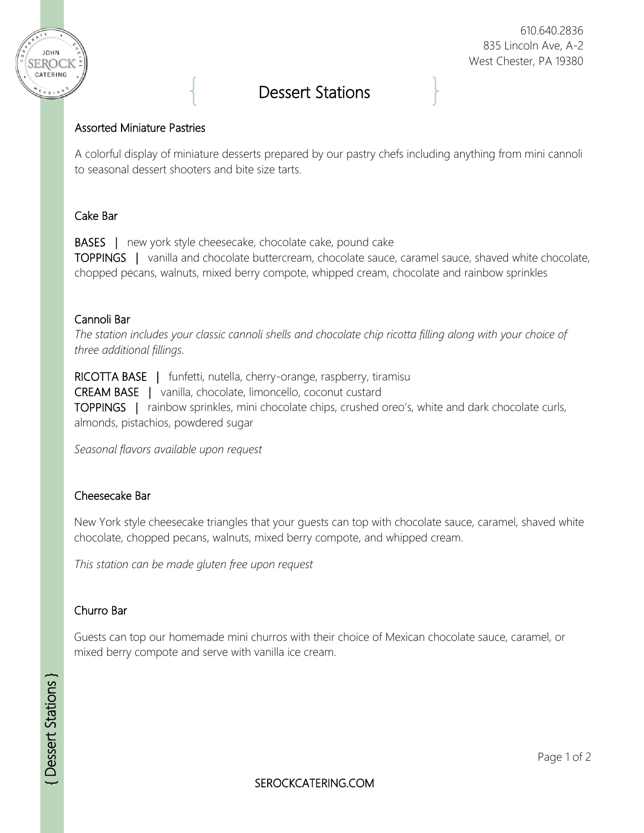

#### 610.640.2836 835 Lincoln Ave, A-2 West Chester, PA 19380

# Dessert Stations

## Assorted Miniature Pastries

A colorful display of miniature desserts prepared by our pastry chefs including anything from mini cannoli to seasonal dessert shooters and bite size tarts.

# Cake Bar

BASES | new york style cheesecake, chocolate cake, pound cake TOPPINGS | vanilla and chocolate buttercream, chocolate sauce, caramel sauce, shaved white chocolate, chopped pecans, walnuts, mixed berry compote, whipped cream, chocolate and rainbow sprinkles

## Cannoli Bar

*The station includes your classic cannoli shells and chocolate chip ricotta filling along with your choice of three additional fillings.*

RICOTTA BASE | funfetti, nutella, cherry-orange, raspberry, tiramisu

CREAM BASE | vanilla, chocolate, limoncello, coconut custard

TOPPINGS | rainbow sprinkles, mini chocolate chips, crushed oreo's, white and dark chocolate curls, almonds, pistachios, powdered sugar

*Seasonal flavors available upon request*

## Cheesecake Bar

New York style cheesecake triangles that your guests can top with chocolate sauce, caramel, shaved white chocolate, chopped pecans, walnuts, mixed berry compote, and whipped cream.

*This station can be made gluten free upon request*

## Churro Bar

Guests can top our homemade mini churros with their choice of Mexican chocolate sauce, caramel, or mixed berry compote and serve with vanilla ice cream.

SEROCKCATERING.COM